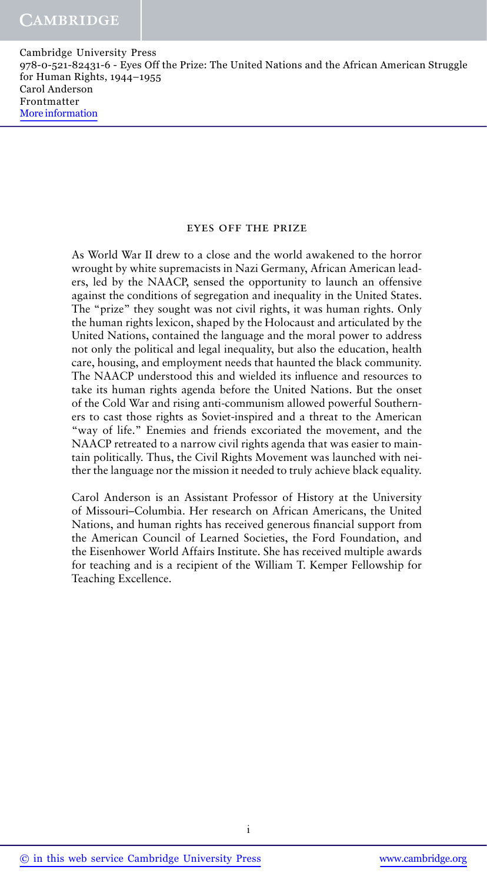#### eyes off the prize

As World War II drew to a close and the world awakened to the horror wrought by white supremacists in Nazi Germany, African American leaders, led by the NAACP, sensed the opportunity to launch an offensive against the conditions of segregation and inequality in the United States. The "prize" they sought was not civil rights, it was human rights. Only the human rights lexicon, shaped by the Holocaust and articulated by the United Nations, contained the language and the moral power to address not only the political and legal inequality, but also the education, health care, housing, and employment needs that haunted the black community. The NAACP understood this and wielded its influence and resources to take its human rights agenda before the United Nations. But the onset of the Cold War and rising anti-communism allowed powerful Southerners to cast those rights as Soviet-inspired and a threat to the American "way of life." Enemies and friends excoriated the movement, and the NAACP retreated to a narrow civil rights agenda that was easier to maintain politically. Thus, the Civil Rights Movement was launched with neither the language nor the mission it needed to truly achieve black equality.

Carol Anderson is an Assistant Professor of History at the University of Missouri–Columbia. Her research on African Americans, the United Nations, and human rights has received generous financial support from the American Council of Learned Societies, the Ford Foundation, and the Eisenhower World Affairs Institute. She has received multiple awards for teaching and is a recipient of the William T. Kemper Fellowship for Teaching Excellence.

i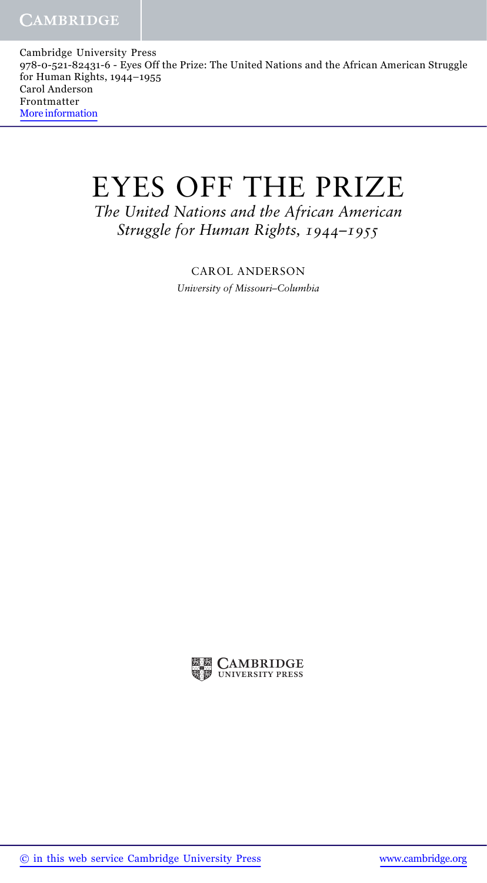# EYES OFF THE PRIZE

*The United Nations and the African American Struggle for Human Rights, 1944–1955*

> CAROL ANDERSON *University of Missouri–Columbia*

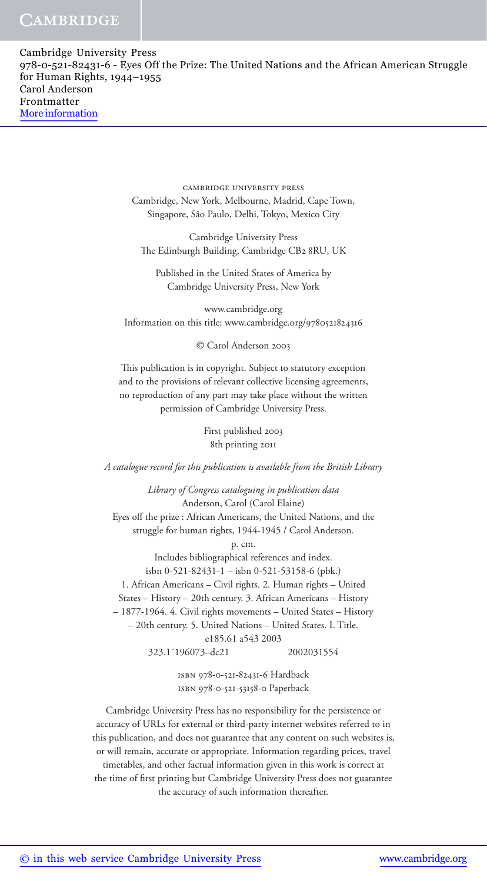### **CAMBRIDGE**

| Cambridge University Press                                                                   |
|----------------------------------------------------------------------------------------------|
| 978-0-521-82431-6 - Eyes Off the Prize: The United Nations and the African American Struggle |
| for Human Rights, 1944–1955                                                                  |
| Carol Anderson                                                                               |
| Frontmatter                                                                                  |
| More information                                                                             |
|                                                                                              |

cambridge university press Cambridge, New York, Melbourne, Madrid, Cape Town, Singapore, São Paulo, Delhi, Tokyo, Mexico City

Cambridge University Press The Edinburgh Building, Cambridge CB2 8RU, UK

Published in the United States of America by Cambridge University Press, New York

www.cambridge.org Information on this title: www.cambridge.org/9780521824316

© Carol Anderson 2003

This publication is in copyright. Subject to statutory exception and to the provisions of relevant collective licensing agreements, no reproduction of any part may take place without the written permission of Cambridge University Press.

> First published 2003 8th printing 2011

*A catalogue record for this publication is available from the British Library*

*Library of Congress cataloguing in publication data* Anderson, Carol (Carol Elaine) Eyes off the prize : African Americans, the United Nations, and the struggle for human rights, 1944-1945 / Carol Anderson.

p. cm.

Includes bibliographical references and index. isbn 0-521-82431-1 – isbn 0-521-53158-6 (pbk.) 1. African Americans – Civil rights. 2. Human rights – United States – History – 20th century. 3. African Americans – History – 1877-1964. 4. Civil rights movements – United States – History – 20th century. 5. United Nations – United States. I. Title. e185.61 a543 2003

323.1´196073–dc21 2002031554

isbn 978-0-521-82431-6 Hardback isbn 978-0-521-53158-0 Paperback

Cambridge University Press has no responsibility for the persistence or accuracy of URLs for external or third-party internet websites referred to in this publication, and does not guarantee that any content on such websites is, or will remain, accurate or appropriate. Information regarding prices, travel timetables, and other factual information given in this work is correct at the time of first printing but Cambridge University Press does not guarantee the accuracy of such information thereafter.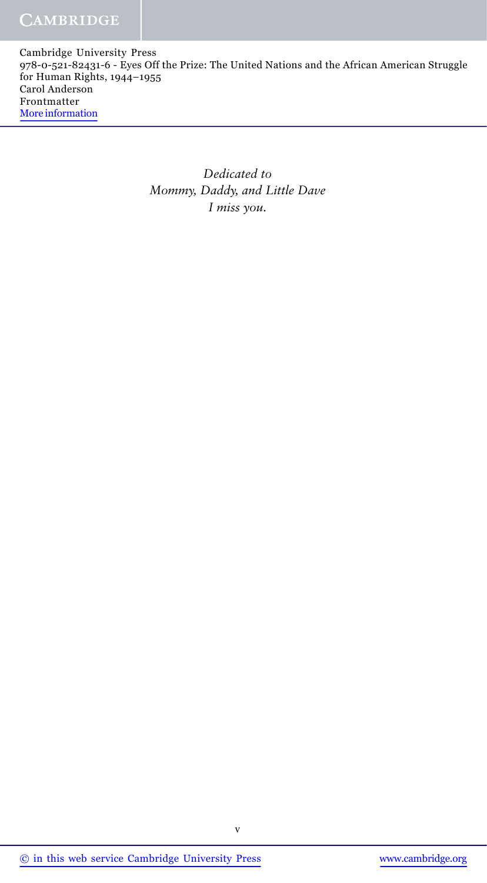## **CAMBRIDGE**

Cambridge University Press 978-0-521-82431-6 - Eyes Off the Prize: The United Nations and the African American Struggle for Human Rights, 1944–1955 Carol Anderson Frontmatter More information

> *Dedicated to Mommy, Daddy, and Little Dave I miss you.*

v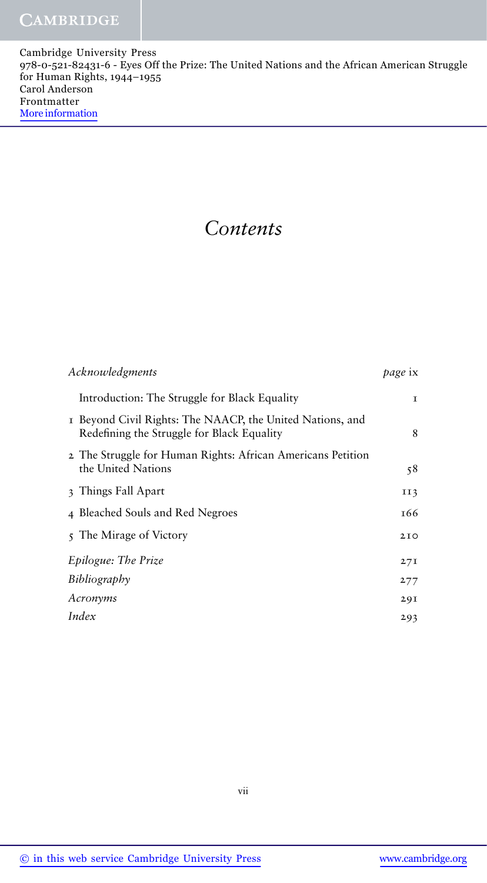# *Contents*

| Acknowledgments                                                                                         | <i>page</i> ix |
|---------------------------------------------------------------------------------------------------------|----------------|
| Introduction: The Struggle for Black Equality                                                           | 1              |
| I Beyond Civil Rights: The NAACP, the United Nations, and<br>Redefining the Struggle for Black Equality | 8              |
| 2 The Struggle for Human Rights: African Americans Petition<br>the United Nations                       | 58             |
| 3 Things Fall Apart                                                                                     | II3            |
| 4 Bleached Souls and Red Negroes                                                                        | 166            |
| 5 The Mirage of Victory                                                                                 | 2IO            |
| Epilogue: The Prize                                                                                     | 27I            |
| Bibliography                                                                                            | 277            |
| Acronyms                                                                                                | 29I            |
| Index                                                                                                   | 293            |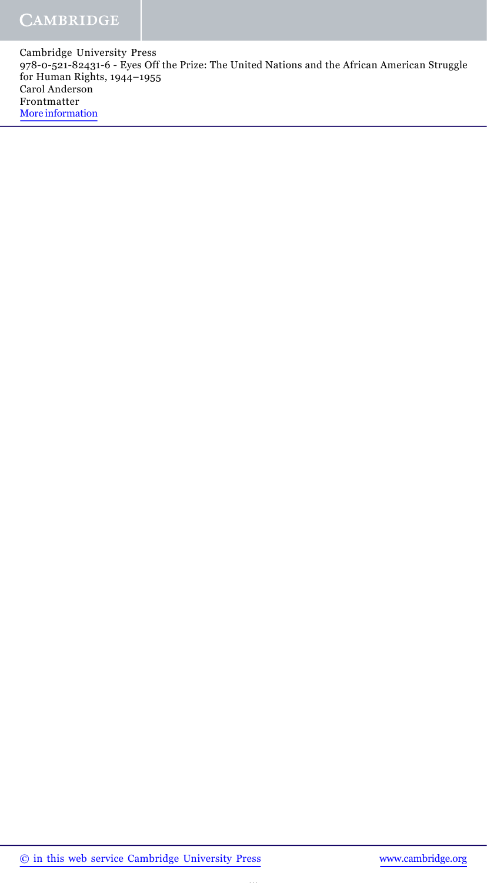viii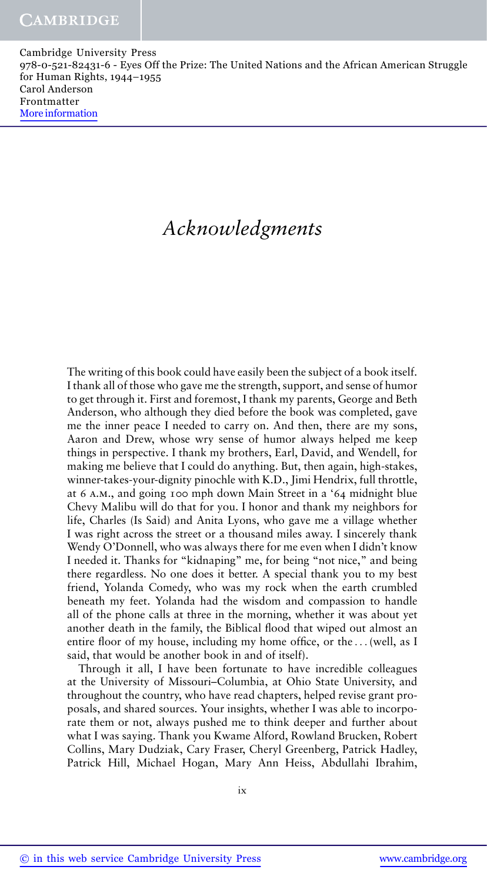# *Acknowledgments*

The writing of this book could have easily been the subject of a book itself. I thank all of those who gave me the strength, support, and sense of humor to get through it. First and foremost, I thank my parents, George and Beth Anderson, who although they died before the book was completed, gave me the inner peace I needed to carry on. And then, there are my sons, Aaron and Drew, whose wry sense of humor always helped me keep things in perspective. I thank my brothers, Earl, David, and Wendell, for making me believe that I could do anything. But, then again, high-stakes, winner-takes-your-dignity pinochle with K.D., Jimi Hendrix, full throttle, at 6 a.m., and going 100 mph down Main Street in a '64 midnight blue Chevy Malibu will do that for you. I honor and thank my neighbors for life, Charles (Is Said) and Anita Lyons, who gave me a village whether I was right across the street or a thousand miles away. I sincerely thank Wendy O'Donnell, who was always there for me even when I didn't know I needed it. Thanks for "kidnaping" me, for being "not nice," and being there regardless. No one does it better. A special thank you to my best friend, Yolanda Comedy, who was my rock when the earth crumbled beneath my feet. Yolanda had the wisdom and compassion to handle all of the phone calls at three in the morning, whether it was about yet another death in the family, the Biblical flood that wiped out almost an entire floor of my house, including my home office, or the ... (well, as I said, that would be another book in and of itself).

Through it all, I have been fortunate to have incredible colleagues at the University of Missouri–Columbia, at Ohio State University, and throughout the country, who have read chapters, helped revise grant proposals, and shared sources. Your insights, whether I was able to incorporate them or not, always pushed me to think deeper and further about what I was saying. Thank you Kwame Alford, Rowland Brucken, Robert Collins, Mary Dudziak, Cary Fraser, Cheryl Greenberg, Patrick Hadley, Patrick Hill, Michael Hogan, Mary Ann Heiss, Abdullahi Ibrahim,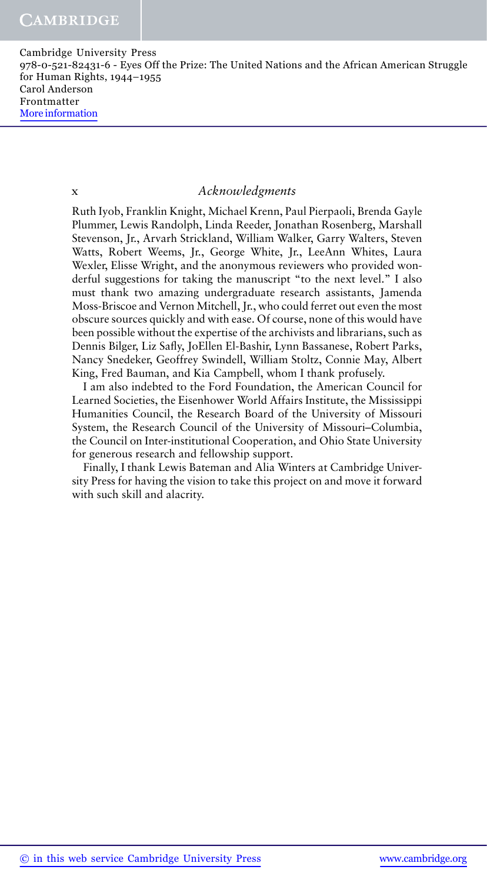#### x *Acknowledgments*

Ruth Iyob, Franklin Knight, Michael Krenn, Paul Pierpaoli, Brenda Gayle Plummer, Lewis Randolph, Linda Reeder, Jonathan Rosenberg, Marshall Stevenson, Jr., Arvarh Strickland, William Walker, Garry Walters, Steven Watts, Robert Weems, Jr., George White, Jr., LeeAnn Whites, Laura Wexler, Elisse Wright, and the anonymous reviewers who provided wonderful suggestions for taking the manuscript "to the next level." I also must thank two amazing undergraduate research assistants, Jamenda Moss-Briscoe and Vernon Mitchell, Jr., who could ferret out even the most obscure sources quickly and with ease. Of course, none of this would have been possible without the expertise of the archivists and librarians, such as Dennis Bilger, Liz Safly, JoEllen El-Bashir, Lynn Bassanese, Robert Parks, Nancy Snedeker, Geoffrey Swindell, William Stoltz, Connie May, Albert King, Fred Bauman, and Kia Campbell, whom I thank profusely.

I am also indebted to the Ford Foundation, the American Council for Learned Societies, the Eisenhower World Affairs Institute, the Mississippi Humanities Council, the Research Board of the University of Missouri System, the Research Council of the University of Missouri–Columbia, the Council on Inter-institutional Cooperation, and Ohio State University for generous research and fellowship support.

Finally, I thank Lewis Bateman and Alia Winters at Cambridge University Press for having the vision to take this project on and move it forward with such skill and alacrity.